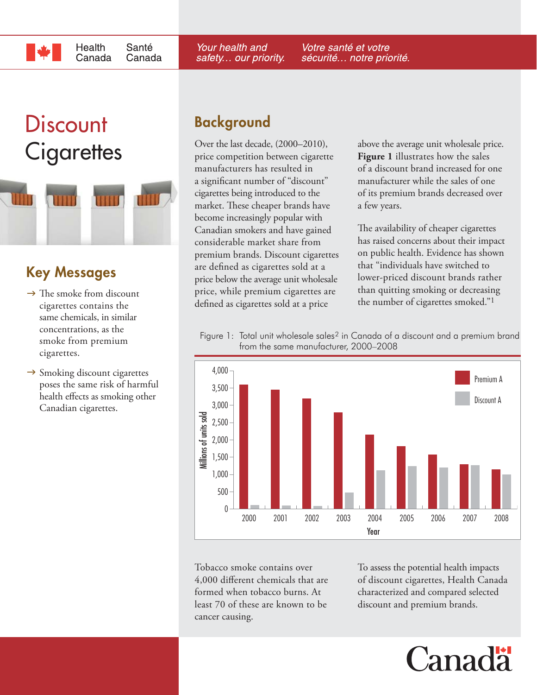# **Discount**

Health

Canada



Santé

Canada

# **Key Messages**

- $\rightarrow$  The smoke from discount cigarettes contains the same chemicals, in similar concentrations, as the smoke from premium cigarettes.
- $\rightarrow$  Smoking discount cigarettes poses the same risk of harmful health effects as smoking other Canadian cigarettes.

# **Background**

Your health and

safety... our priority.

Over the last decade, (2000–2010), price competition between cigarette manufacturers has resulted in a significant number of "discount" cigarettes being introduced to the market. These cheaper brands have become increasingly popular with Canadian smokers and have gained considerable market share from premium brands. Discount cigarettes are defined as cigarettes sold at a price below the average unit wholesale price, while premium cigarettes are defined as cigarettes sold at a price

Cigarettes over the last decade, (2000–2010), above the average unit wholesale price.<br>
Figure 1 illustrates how the sales **Figure 1** illustrates how the sales of a discount brand increased for one manufacturer while the sales of one of its premium brands decreased over a few years.

> The availability of cheaper cigarettes has raised concerns about their impact on public health. Evidence has shown that "individuals have switched to lower-priced discount brands rather than quitting smoking or decreasing the number of cigarettes smoked."1

Figure 1: Total unit wholesale sales<sup>2</sup> in Canada of a discount and a premium brand from the same manufacturer, 2000–2008

Votre santé et votre

sécurité... notre priorité.



Tobacco smoke contains over 4,000 different chemicals that are formed when tobacco burns. At least 70 of these are known to be cancer causing.

To assess the potential health impacts of discount cigarettes, Health Canada characterized and compared selected discount and premium brands.

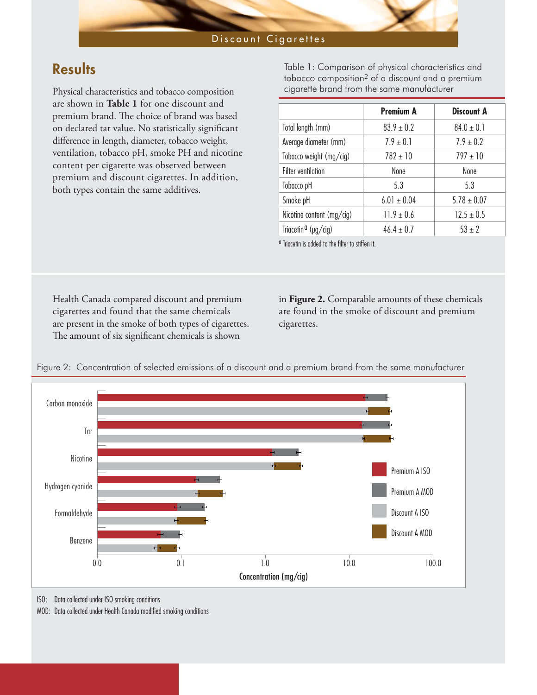#### Discount Cigarettes

## **Results**

Physical characteristics and tobacco composition are shown in **Table 1** for one discount and premium brand. The choice of brand was based on declared tar value. No statistically significant difference in length, diameter, tobacco weight, ventilation, tobacco pH, smoke PH and nicotine content per cigarette was observed between premium and discount cigarettes. In addition, both types contain the same additives.

Table 1: Comparison of physical characteristics and tobacco composition2 of a discount and a premium cigarette brand from the same manufacturer

|                                 | <b>Premium A</b> | Discount A      |
|---------------------------------|------------------|-----------------|
| Total length (mm)               | $83.9 \pm 0.2$   | $84.0 \pm 0.1$  |
| Average diameter (mm)           | $7.9 \pm 0.1$    | $7.9 \pm 0.2$   |
| Tobacco weight (mg/cig)         | $782 \pm 10$     | $797 \pm 10$    |
| <b>Filter ventilation</b>       | None             | None            |
| Tobacco pH                      | 5.3              | 5.3             |
| Smoke pH                        | $6.01 \pm 0.04$  | $5.78 \pm 0.07$ |
| Nicotine content (mg/cig)       | $11.9 \pm 0.6$   | $12.5 \pm 0.5$  |
| Triacetin <sup>a</sup> (µg/cig) | $46.4 \pm 0.7$   | $53 \pm 2$      |

<sup>a</sup> Triacetin is added to the filter to stiffen it.

Health Canada compared discount and premium cigarettes and found that the same chemicals are present in the smoke of both types of cigarettes. The amount of six significant chemicals is shown

in **Figure 2.** Comparable amounts of these chemicals are found in the smoke of discount and premium cigarettes.





ISO: Data collected under ISO smoking conditions

MOD: Data collected under Health Canada modified smoking conditions